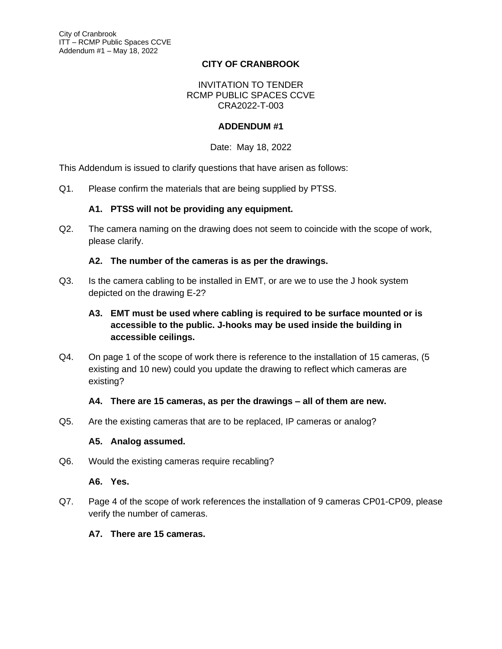## **CITY OF CRANBROOK**

#### INVITATION TO TENDER RCMP PUBLIC SPACES CCVE CRA2022-T-003

## **ADDENDUM #1**

#### Date: May 18, 2022

This Addendum is issued to clarify questions that have arisen as follows:

Q1. Please confirm the materials that are being supplied by PTSS.

#### **A1. PTSS will not be providing any equipment.**

Q2. The camera naming on the drawing does not seem to coincide with the scope of work, please clarify.

#### **A2. The number of the cameras is as per the drawings.**

Q3. Is the camera cabling to be installed in EMT, or are we to use the J hook system depicted on the drawing E-2?

# **A3. EMT must be used where cabling is required to be surface mounted or is accessible to the public. J-hooks may be used inside the building in accessible ceilings.**

Q4. On page 1 of the scope of work there is reference to the installation of 15 cameras, (5 existing and 10 new) could you update the drawing to reflect which cameras are existing?

#### **A4. There are 15 cameras, as per the drawings – all of them are new.**

Q5. Are the existing cameras that are to be replaced, IP cameras or analog?

#### **A5. Analog assumed.**

Q6. Would the existing cameras require recabling?

#### **A6. Yes.**

Q7. Page 4 of the scope of work references the installation of 9 cameras CP01-CP09, please verify the number of cameras.

#### **A7. There are 15 cameras.**